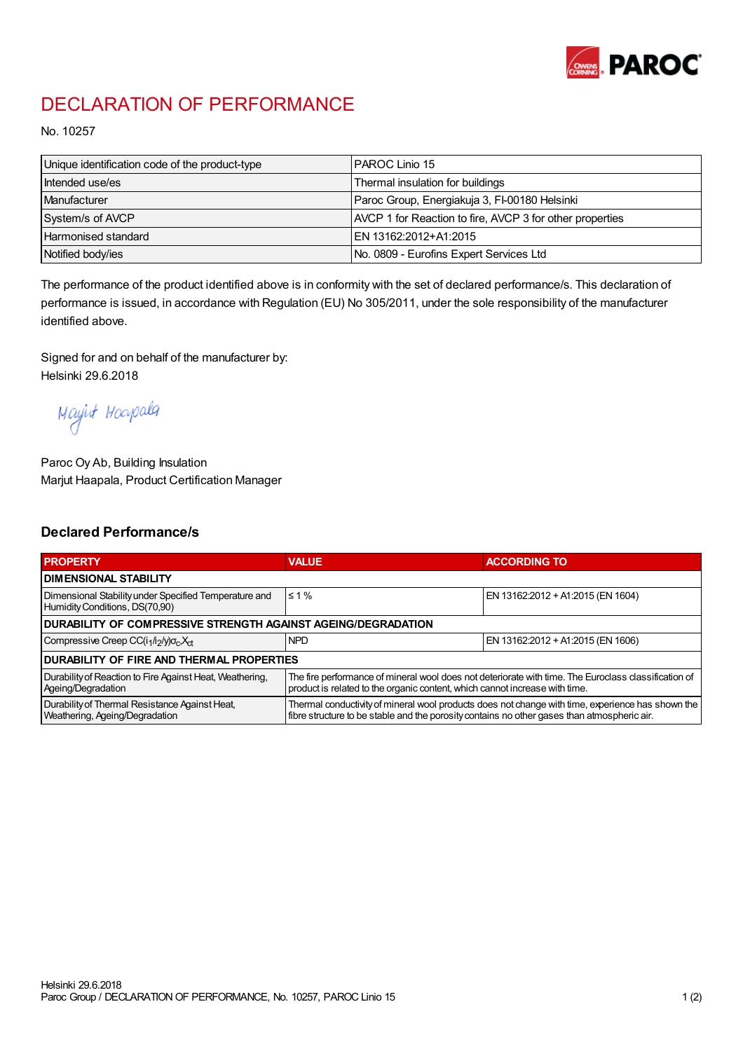

## DECLARATION OF PERFORMANCE

No. 10257

| Unique identification code of the product-type | IPAROC Linio 15                                          |
|------------------------------------------------|----------------------------------------------------------|
| Intended use/es                                | Thermal insulation for buildings                         |
| Manufacturer                                   | Paroc Group, Energiakuja 3, FI-00180 Helsinki            |
| System/s of AVCP                               | AVCP 1 for Reaction to fire, AVCP 3 for other properties |
| Harmonised standard                            | IEN 13162:2012+A1:2015                                   |
| Notified body/ies                              | No. 0809 - Eurofins Expert Services Ltd                  |

The performance of the product identified above is in conformity with the set of declared performance/s. This declaration of performance is issued, in accordance with Regulation (EU) No 305/2011, under the sole responsibility of the manufacturer identified above.

Signed for and on behalf of the manufacturer by: Helsinki 29.6.2018

Mayint Hoapala

Paroc Oy Ab, Building Insulation Marjut Haapala, Product Certification Manager

## Declared Performance/s

| <b>PROPERTY</b>                                                                         | <b>VALUE</b>                                                                                                                                                                                     | <b>ACCORDING TO</b>               |  |  |
|-----------------------------------------------------------------------------------------|--------------------------------------------------------------------------------------------------------------------------------------------------------------------------------------------------|-----------------------------------|--|--|
| <b>I DIMENSIONAL STABILITY</b>                                                          |                                                                                                                                                                                                  |                                   |  |  |
| Dimensional Stability under Specified Temperature and<br>Humidity Conditions, DS(70,90) | $\leq 1\%$                                                                                                                                                                                       | EN 13162:2012 + A1:2015 (EN 1604) |  |  |
| <b>DURABILITY OF COMPRESSIVE STRENGTH AGAINST AGEING/DEGRADATION</b>                    |                                                                                                                                                                                                  |                                   |  |  |
| Compressive Creep CC(i <sub>1</sub> /i <sub>2</sub> /y) $\sigma_c X_{ct}$               | <b>NPD</b>                                                                                                                                                                                       | EN 13162:2012 + A1:2015 (EN 1606) |  |  |
| IDURABILITY OF FIRE AND THERMAL PROPERTIES                                              |                                                                                                                                                                                                  |                                   |  |  |
| Durability of Reaction to Fire Against Heat, Weathering,<br>Ageing/Degradation          | The fire performance of mineral wool does not deteriorate with time. The Euroclass classification of<br>product is related to the organic content, which cannot increase with time.              |                                   |  |  |
| Durability of Thermal Resistance Against Heat,<br>Weathering, Ageing/Degradation        | Thermal conductivity of mineral wool products does not change with time, experience has shown the<br>fibre structure to be stable and the porosity contains no other gases than atmospheric air. |                                   |  |  |